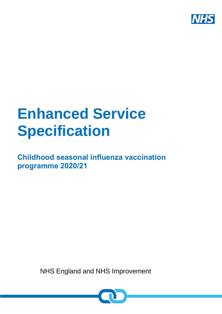

# **Enhanced Service Specification**

**Childhood seasonal influenza vaccination programme 2020/21**

NHS England and NHS Improvement

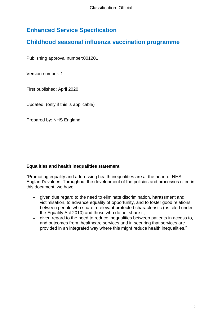# **Enhanced Service Specification**

# **Childhood seasonal influenza vaccination programme**

Publishing approval number:001201

Version number: 1

First published: April 2020

Updated: (only if this is applicable)

Prepared by: NHS England

#### **Equalities and health inequalities statement**

"Promoting equality and addressing health inequalities are at the heart of NHS England's values. Throughout the development of the policies and processes cited in this document, we have:

- given due regard to the need to eliminate discrimination, harassment and victimisation, to advance equality of opportunity, and to foster good relations between people who share a relevant protected characteristic (as cited under the Equality Act 2010) and those who do not share it;
- given regard to the need to reduce inequalities between patients in access to, and outcomes from, healthcare services and in securing that services are provided in an integrated way where this might reduce health inequalities."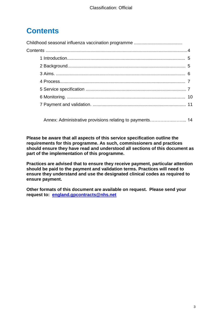# <span id="page-2-0"></span>**Contents**

Annex: Administrative provisions relating to payments…………….……... 14

**Please be aware that all aspects of this service specification outline the requirements for this programme. As such, commissioners and practices should ensure they have read and understood all sections of this document as part of the implementation of this programme.** 

**Practices are advised that to ensure they receive payment, particular attention should be paid to the payment and validation terms. Practices will need to ensure they understand and use the designated clinical codes as required to ensure payment.** 

**Other formats of this document are available on request. Please send your request to: [england.gpcontracts@nhs.net](mailto:england.gpcontracts@nhs.net)**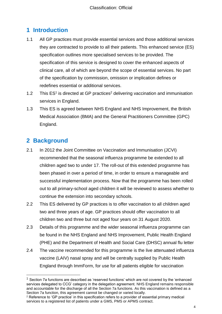# **1 Introduction**

- 1.1 All GP practices must provide essential services and those additional services they are contracted to provide to all their patients. This enhanced service (ES) specification outlines more specialised services to be provided. The specification of this service is designed to cover the enhanced aspects of clinical care, all of which are beyond the scope of essential services. No part of the specification by commission, omission or implication defines or redefines essential or additional services.
- 1.2 This  $ES<sup>1</sup>$  is directed at GP practices<sup>2</sup> delivering vaccination and immunisation services in England.
- 1.3 This ES is agreed between NHS England and NHS Improvement, the British Medical Association (BMA) and the General Practitioners Committee (GPC) England.

# <span id="page-3-0"></span>**2 Background**

l

- 2.1 In 2012 the Joint Committee on Vaccination and Immunisation (JCVI) recommended that the seasonal influenza programme be extended to all children aged two to under 17. The roll-out of this extended programme has been phased in over a period of time, in order to ensure a manageable and successful implementation process. Now that the programme has been rolled out to all primary-school aged children it will be reviewed to assess whether to continue the extension into secondary schools.
- 2.2 This ES delivered by GP practices is to offer vaccination to all children aged two and three years of age. GP practices should offer vaccination to all children two and three but not aged four years on 31 August 2020.
- 2.3 Details of this programme and the wider seasonal influenza programme can be found in the NHS England and NHS Improvement, Public Health England (PHE) and the Department of Health and Social Care (DHSC) annual flu letter
- 2.4 The vaccine recommended for this programme is the live attenuated influenza vaccine (LAIV) nasal spray and will be centrally supplied by Public Health England through ImmForm, for use for all patients eligible for vaccination

 $<sup>1</sup>$  Section 7a functions are described as 'reserved functions' which are not covered by the 'enhanced</sup> services delegated to CCG' category in the delegation agreement. NHS England remains responsible and accountable for the discharge of all the Section 7a functions. As this vaccination is defined as a Section 7a function, this agreement cannot be changed or varied locally.

<sup>&</sup>lt;sup>2</sup> Reference to 'GP practice' in this specification refers to a provider of essential primary medical services to a registered list of patients under a GMS, PMS or APMS contract.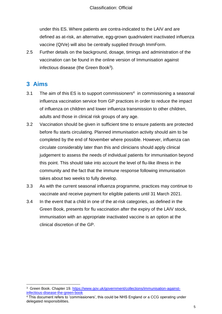under this ES. Where patients are contra-indicated to the LAIV and are defined as at-risk, an alternative, egg-grown quadrivalent inactivated influenza vaccine (QIVe) will also be centrally supplied through ImmForm.

2.5 Further details on the background, dosage, timings and administration of the vaccination can be found in the online version of Immunisation against infectious disease (the Green Book<sup>3</sup>).

## <span id="page-4-0"></span>**3 Aims**

- 3.1 The aim of this ES is to support commissioners<sup>4</sup> in commissioning a seasonal influenza vaccination service from GP practices in order to reduce the impact of influenza on children and lower influenza transmission to other children, adults and those in clinical risk groups of any age.
- 3.2 Vaccination should be given in sufficient time to ensure patients are protected before flu starts circulating. Planned immunisation activity should aim to be completed by the end of November where possible. However, influenza can circulate considerably later than this and clinicians should apply clinical judgement to assess the needs of individual patients for immunisation beyond this point. This should take into account the level of flu-like illness in the community and the fact that the immune response following immunisation takes about two weeks to fully develop.
- 3.3 As with the current seasonal influenza programme, practices may continue to vaccinate and receive payment for eligible patients until 31 March 2021.
- <span id="page-4-1"></span>3.4 In the event that a child in one of the at-risk categories, as defined in the Green Book, presents for flu vaccination after the expiry of the LAIV stock, immunisation with an appropriate inactivated vaccine is an option at the clinical discretion of the GP.

l <sup>3</sup> Green Book. Chapter 19. [https://www.gov.uk/government/collections/immunisation-against](https://www.gov.uk/government/collections/immunisation-against-infectious-disease-the-green-book)[infectious-disease-the-green-book](https://www.gov.uk/government/collections/immunisation-against-infectious-disease-the-green-book)

<sup>4</sup> This document refers to 'commissioners', this could be NHS England or a CCG operating under delegated responsibilities.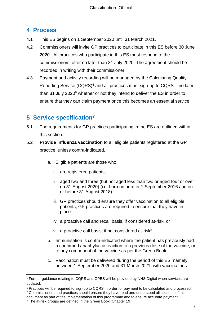# **4 Process**

- 4.1 This ES begins on 1 September 2020 until 31 March 2021.
- 4.2 Commissioners will invite GP practices to participate in this ES before 30 June 2020. All practices who participate in this ES must respond to the commissioners' offer no later than 31 July 2020. The agreement should be recorded in writing with their commissioner
- 4.3 Payment and activity recording will be managed by the Calculating Quality Reporting Service  $(CQRS)^5$  and all practices must sign-up to  $CQRS -$  no later than 31 July 2020<sup>6</sup> whether or not they intend to deliver the ES in order to ensure that they can claim payment once this becomes an essential service.

# <span id="page-5-0"></span>**5 Service specification<sup>7</sup>**

- 5.1 The requirements for GP practices participating in the ES are outlined within this section.
- 5.2 **Provide influenza vaccination** to all eligible patients registered at the GP practice; unless contra-indicated.
	- a. Eligible patients are those who:
		- i. are registered patients,
		- ii. aged two and three (but not aged less than two or aged four or over on 31 August 2020) (i.e. born on or after 1 September 2016 and on or before 31 August 2018)
		- iii. GP practices should ensure they offer vaccination to all eligible patients, GP practices are required to ensure that they have in place:-
		- iv. a proactive call and recall basis, if considered at-risk, or
		- v. a proactive call basis, if not considered at-risk $8$
	- b. Immunisation is contra-indicated where the patient has previously had a confirmed anaphylactic reaction to a previous dose of the vaccine, or to any component of the vaccine as per the Green Book.
	- c. Vaccination must be delivered during the period of this ES, namely between 1 September 2020 and 31 March 2021, with vaccinations

 $\overline{a}$ <sup>5</sup> Further guidance relating to CQRS and GPES will be provided by NHS Digital when services are updated.

<sup>6</sup> Practices will be required to sign-up to CQRS in order for payment to be calculated and processed. <sup>7</sup> Commissioners and practices should ensure they have read and understood all sections of this

document as part of the implementation of this programme and to ensure accurate payment.

<sup>&</sup>lt;sup>8</sup> The at-risk groups are defined in the Green Book. Chapter 19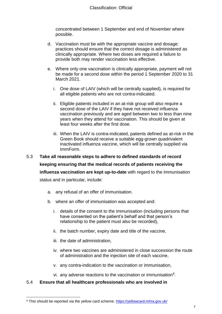concentrated between 1 September and end of November where possible.

- d. Vaccination must be with the appropriate vaccine and dosage: practices should ensure that the correct dosage is administered as clinically appropriate. Where two doses are required a failure to provide both may render vaccination less effective.
- e. Where only one vaccination is clinically appropriate, payment will not be made for a second dose within the period 1 September 2020 to 31 March 2021.
	- i. One dose of LAIV (which will be centrally supplied), is required for all eligible patients who are not contra-indicated.
	- ii. Eligible patients included in an at-risk group will also require a second dose of the LAIV if they have not received influenza vaccination previously and are aged between two to less than nine years when they attend for vaccination. This should be given at least four weeks after the first dose.
	- iii. When the LAIV is contra-indicated, patients defined as at-risk in the Green Book should receive a suitable egg-grown quadrivalent inactivated influenza vaccine, which will be centrally supplied via ImmForm.
- 5.3 **Take all reasonable steps to adhere to defined standards of record keeping ensuring that the medical records of patients receiving the influenza vaccination are kept up-to-date** with regard to the immunisation status and in particular, include:
	- a. any refusal of an offer of immunisation.
	- b. where an offer of immunisation was accepted and:
		- i. details of the consent to the immunisation (including persons that have consented on the patient's behalf and that person's relationship to the patient must also be recorded),
		- ii. the batch number, expiry date and title of the vaccine,
		- iii. the date of administration,
		- iv. where two vaccines are administered in close succession the route of administration and the injection site of each vaccine,
		- v. any contra-indication to the vaccination or immunisation,
		- vi. any adverse reactions to the vaccination or immunisation<sup>9</sup>.

#### 5.4 **Ensure that all healthcare professionals who are involved in**

l 9 This should be reported via the yellow card scheme.<https://yellowcard.mhra.gov.uk/>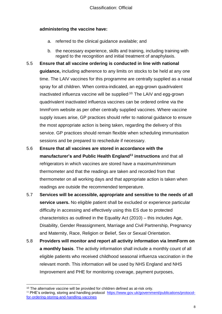### **administering the vaccine have:**

- a. referred to the clinical guidance available; and
- b. the necessary experience, skills and training, including training with regard to the recognition and initial treatment of anaphylaxis.
- 5.5 **Ensure that all vaccine ordering is conducted in line with national guidance,** including adherence to any limits on stocks to be held at any one time. The LAIV vaccines for this programme are centrally supplied as a nasal spray for all children. When contra-indicated, an egg-grown quadrivalent inactivated influenza vaccine will be supplied,<sup>10.</sup> The LAIV and egg-grown quadrivalent inactivated influenza vaccines can be ordered online via the ImmForm website as per other centrally supplied vaccines. Where vaccine supply issues arise, GP practices should refer to national guidance to ensure the most appropriate action is being taken, regarding the delivery of this service. GP practices should remain flexible when scheduling immunisation sessions and be prepared to reschedule if necessary.
- 5.6 **Ensure that all vaccines are stored in accordance with the manufacturer's and Public Health England<sup>11</sup> instructions** and that all refrigerators in which vaccines are stored have a maximum/minimum thermometer and that the readings are taken and recorded from that thermometer on all working days and that appropriate action is taken when readings are outside the recommended temperature.
- 5.7 **Services will be accessible, appropriate and sensitive to the needs of all service users.** No eligible patient shall be excluded or experience particular difficulty in accessing and effectively using this ES due to protected characteristics as outlined in the Equality Act (2010) – this includes Age, Disability, Gender Reassignment, Marriage and Civil Partnership, Pregnancy and Maternity, Race, Religion or Belief, Sex or Sexual Orientation.
- 5.8 **Providers will monitor and report all activity information via ImmForm on a monthly basis**. The activity information shall include a monthly count of all eligible patients who received childhood seasonal influenza vaccination in the relevant month. This information will be used by NHS England and NHS Improvement and PHE for monitoring coverage, payment purposes,

l

 $10$  The alternative vaccine will be provided for children defined as at-risk only. <sup>11</sup> PHE's ordering, storing and handling protocol [https://www.gov.uk/government/publications/protocol](https://www.gov.uk/government/publications/protocol-for-ordering-storing-and-handling-vaccines)[for-ordering-storing-and-handling-vaccines](https://www.gov.uk/government/publications/protocol-for-ordering-storing-and-handling-vaccines)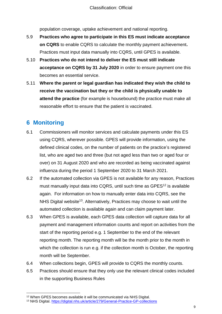population coverage, uptake achievement and national reporting.

- 5.9 **Practices who agree to participate in this ES must indicate acceptance on CQRS** to enable CQRS to calculate the monthly payment achievement**.** Practices must input data manually into CQRS, until GPES is available.
- 5.10 **Practices who do not intend to deliver the ES must still indicate acceptance on CQRS by 31 July 2020** in order to ensure payment one this becomes an essential service.
- 5.11 **Where the parent or legal guardian has indicated they wish the child to receive the vaccination but they or the child is physically unable to attend the practice** (for example is housebound) the practice must make all reasonable effort to ensure that the patient is vaccinated.

# <span id="page-8-0"></span>**6 Monitoring**

l

- 6.1 Commissioners will monitor services and calculate payments under this ES using CQRS, wherever possible. GPES will provide information, using the defined clinical codes, on the number of patients on the practice's registered list, who are aged two and three (but not aged less than two or aged four or over) on 31 August 2020 and who are recorded as being vaccinated against influenza during the period 1 September 2020 to 31 March 2021.
- 6.2 If the automated collection via GPES is not available for any reason, Practices must manually input data into CQRS, until such time as GPES<sup>12</sup> is available again. For information on how to manually enter data into CQRS, see the NHS Digital website<sup>13</sup>. Alternatively, Practices may choose to wait until the automated collection is available again and can claim payment later.
- 6.3 When GPES is available, each GPES data collection will capture data for all payment and management information counts and report on activities from the start of the reporting period e.g. 1 September to the end of the relevant reporting month. The reporting month will be the month prior to the month in which the collection is run e.g. if the collection month is October, the reporting month will be September.
- 6.4 When collections begin, GPES will provide to CQRS the monthly counts.
- 6.5 Practices should ensure that they only use the relevant clinical codes included in the supporting Business Rules

<sup>12</sup> When GPES becomes available it will be communicated via NHS Digital.

<sup>13</sup> NHS Digital.<https://digital.nhs.uk/article/279/General-Practice-GP-collections>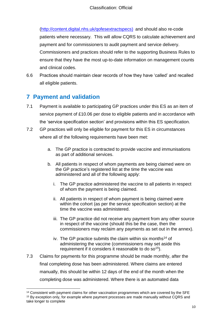[\(http://content.digital.nhs.uk/qofesextractspecs\)](http://content.digital.nhs.uk/qofesextractspecs) and should also re-code patients where necessary. This will allow CQRS to calculate achievement and payment and for commissioners to audit payment and service delivery. Commissioners and practices should refer to the supporting Business Rules to ensure that they have the most up-to-date information on management counts and clinical codes.

6.6 Practices should maintain clear records of how they have 'called' and recalled all eligible patients.

# <span id="page-9-0"></span>**7 Payment and validation**

 $\overline{a}$ 

- 7.1 Payment is available to participating GP practices under this ES as an item of service payment of £10.06 per dose to eligible patients and in accordance with the 'service specification section' and provisions within this ES specification.
- 7.2 GP practices will only be eligible for payment for this ES in circumstances where all of the following requirements have been met:
	- a. The GP practice is contracted to provide vaccine and immunisations as part of additional services.
	- b. All patients in respect of whom payments are being claimed were on the GP practice's registered list at the time the vaccine was administered and all of the following apply:
		- i. The GP practice administered the vaccine to all patients in respect of whom the payment is being claimed.
		- ii. All patients in respect of whom payment is being claimed were within the cohort (as per the service specification section) at the time the vaccine was administered.
		- iii. The GP practice did not receive any payment from any other source in respect of the vaccine (should this be the case, then the commissioners may reclaim any payments as set out in the annex).
		- iv. The GP practice submits the claim within six months<sup>14</sup> of administering the vaccine (commissioners may set aside this requirement if it considers it reasonable to do so<sup>15</sup>).
- 7.3 Claims for payments for this programme should be made monthly, after the final completing dose has been administered. Where claims are entered manually, this should be within 12 days of the end of the month when the completing dose was administered. Where there is an automated data

<sup>&</sup>lt;sup>14</sup> Consistent with payment claims for other vaccination programmes which are covered by the SFE <sup>15</sup> By exception only, for example where payment processes are made manually without CQRS and take longer to complete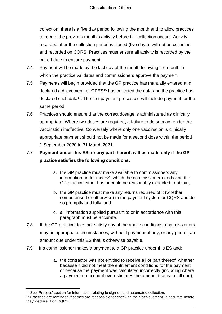collection, there is a five day period following the month end to allow practices to record the previous month's activity before the collection occurs. Activity recorded after the collection period is closed (five days), will not be collected and recorded on CQRS. Practices must ensure all activity is recorded by the cut-off date to ensure payment.

- 7.4 Payment will be made by the last day of the month following the month in which the practice validates and commissioners approve the payment.
- 7.5 Payments will begin provided that the GP practice has manually entered and declared achievement, or GPES<sup>16</sup> has collected the data and the practice has declared such data<sup>17</sup>. The first payment processed will include payment for the same period.
- 7.6 Practices should ensure that the correct dosage is administered as clinically appropriate. Where two doses are required, a failure to do so may render the vaccination ineffective. Conversely where only one vaccination is clinically appropriate payment should not be made for a second dose within the period 1 September 2020 to 31 March 2021.

## 7.7 **Payment under this ES, or any part thereof, will be made only if the GP practice satisfies the following conditions:**

- a. the GP practice must make available to commissioners any information under this ES, which the commissioner needs and the GP practice either has or could be reasonably expected to obtain,
- b. the GP practice must make any returns required of it (whether computerised or otherwise) to the payment system or CQRS and do so promptly and fully; and,
- c. all information supplied pursuant to or in accordance with this paragraph must be accurate.
- 7.8 If the GP practice does not satisfy any of the above conditions, commissioners may, in appropriate circumstances, withhold payment of any, or any part of, an amount due under this ES that is otherwise payable.
- 7.9 If a commissioner makes a payment to a GP practice under this ES and:
	- a. the contractor was not entitled to receive all or part thereof, whether because it did not meet the entitlement conditions for the payment or because the payment was calculated incorrectly (including where a payment on account overestimates the amount that is to fall due);

 $\overline{a}$ 

<sup>&</sup>lt;sup>16</sup> See 'Process' section for information relating to sign-up and automated collection.

<sup>&</sup>lt;sup>17</sup> Practices are reminded that they are responsible for checking their 'achievement' is accurate before they 'declare' it on CQRS.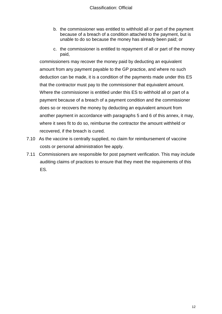- b. the commissioner was entitled to withhold all or part of the payment because of a breach of a condition attached to the payment, but is unable to do so because the money has already been paid; or
- c. the commissioner is entitled to repayment of all or part of the money paid,

commissioners may recover the money paid by deducting an equivalent amount from any payment payable to the GP practice, and where no such deduction can be made, it is a condition of the payments made under this ES that the contractor must pay to the commissioner that equivalent amount. Where the commissioner is entitled under this ES to withhold all or part of a payment because of a breach of a payment condition and the commissioner does so or recovers the money by deducting an equivalent amount from another payment in accordance with paragraphs 5 and 6 of this annex, it may, where it sees fit to do so, reimburse the contractor the amount withheld or recovered, if the breach is cured.

- 7.10 As the vaccine is centrally supplied, no claim for reimbursement of vaccine costs or personal administration fee apply.
- 7.11 Commissioners are responsible for post payment verification. This may include auditing claims of practices to ensure that they meet the requirements of this ES.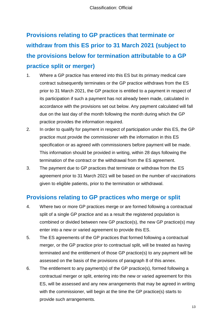# **Provisions relating to GP practices that terminate or withdraw from this ES prior to 31 March 2021 (subject to the provisions below for termination attributable to a GP practice split or merger)**

- 1. Where a GP practice has entered into this ES but its primary medical care contract subsequently terminates or the GP practice withdraws from the ES prior to 31 March 2021, the GP practice is entitled to a payment in respect of its participation if such a payment has not already been made, calculated in accordance with the provisions set out below. Any payment calculated will fall due on the last day of the month following the month during which the GP practice provides the information required.
- 2. In order to qualify for payment in respect of participation under this ES, the GP practice must provide the commissioner with the information in this ES specification or as agreed with commissioners before payment will be made. This information should be provided in writing, within 28 days following the termination of the contract or the withdrawal from the ES agreement.
- 3. The payment due to GP practices that terminate or withdraw from the ES agreement prior to 31 March 2021 will be based on the number of vaccinations given to eligible patients, prior to the termination or withdrawal.

# **Provisions relating to GP practices who merge or split**

- 4. Where two or more GP practices merge or are formed following a contractual split of a single GP practice and as a result the registered population is combined or divided between new GP practice(s), the new GP practice(s) may enter into a new or varied agreement to provide this ES.
- 5. The ES agreements of the GP practices that formed following a contractual merger, or the GP practice prior to contractual split, will be treated as having terminated and the entitlement of those GP practice(s) to any payment will be assessed on the basis of the provisions of paragraph 8 of this annex.
- 6. The entitlement to any payment(s) of the GP practice(s), formed following a contractual merger or split, entering into the new or varied agreement for this ES, will be assessed and any new arrangements that may be agreed in writing with the commissioner, will begin at the time the GP practice(s) starts to provide such arrangements.